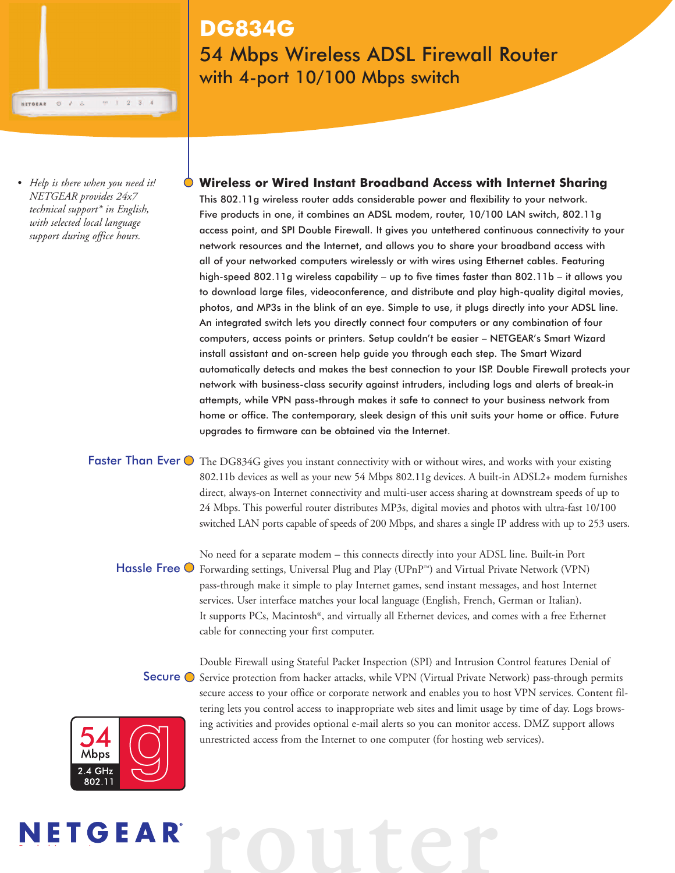## **DG834G** 54 Mbps Wireless ADSL Firewall Router with 4-port 10/100 Mbps switch

*• Help is there when you need it! NETGEAR provides 24x7 technical support\* in English, with selected local language support during office hours.*

 $0<sub>1</sub>$ 

NETGEAR

 $T = 1 - 2 - 3$ 

**Wireless or Wired Instant Broadband Access with Internet Sharing** This 802.11g wireless router adds considerable power and flexibility to your network. Five products in one, it combines an ADSL modem, router, 10/100 LAN switch, 802.11g access point, and SPI Double Firewall. It gives you untethered continuous connectivity to your network resources and the Internet, and allows you to share your broadband access with all of your networked computers wirelessly or with wires using Ethernet cables. Featuring high-speed 802.11g wireless capability – up to five times faster than 802.11b – it allows you to download large files, videoconference, and distribute and play high-quality digital movies, photos, and MP3s in the blink of an eye. Simple to use, it plugs directly into your ADSL line. An integrated switch lets you directly connect four computers or any combination of four computers, access points or printers. Setup couldn't be easier – NETGEAR's Smart Wizard install assistant and on-screen help guide you through each step. The Smart Wizard automatically detects and makes the best connection to your ISP. Double Firewall protects your network with business-class security against intruders, including logs and alerts of break-in attempts, while VPN pass-through makes it safe to connect to your business network from home or office. The contemporary, sleek design of this unit suits your home or office. Future upgrades to firmware can be obtained via the Internet.

Faster Than Ever  $\bigcirc$  The DG834G gives you instant connectivity with or without wires, and works with your existing 802.11b devices as well as your new 54 Mbps 802.11g devices. A built-in ADSL2+ modem furnishes direct, always-on Internet connectivity and multi-user access sharing at downstream speeds of up to 24 Mbps. This powerful router distributes MP3s, digital movies and photos with ultra-fast 10/100 switched LAN ports capable of speeds of 200 Mbps, and shares a single IP address with up to 253 users.

No need for a separate modem – this connects directly into your ADSL line. Built-in Port Hassle Free  $\bigcirc$  Forwarding settings, Universal Plug and Play (UPnP™) and Virtual Private Network (VPN) pass-through make it simple to play Internet games, send instant messages, and host Internet services. User interface matches your local language (English, French, German or Italian). It supports PCs, Macintosh®, and virtually all Ethernet devices, and comes with a free Ethernet cable for connecting your first computer.

Double Firewall using Stateful Packet Inspection (SPI) and Intrusion Control features Denial of Secure  $\bigcirc$  Service protection from hacker attacks, while VPN (Virtual Private Network) pass-through permits secure access to your office or corporate network and enables you to host VPN services. Content filtering lets you control access to inappropriate web sites and limit usage by time of day. Logs browsing activities and provides optional e-mail alerts so you can monitor access. DMZ support allows unrestricted access from the Internet to one computer (for hosting web services).



E b d ' i

# **router**NETGEAR